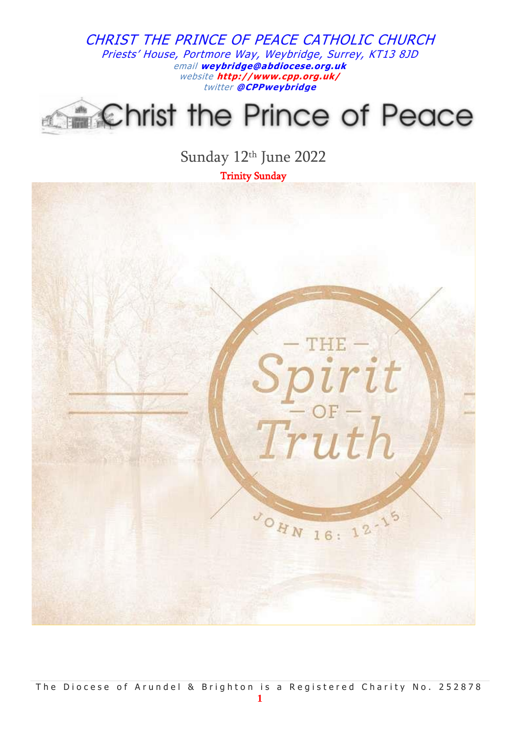# Christ the Prince of Peace

Sunday 12th June 2022

Trinity Sunday

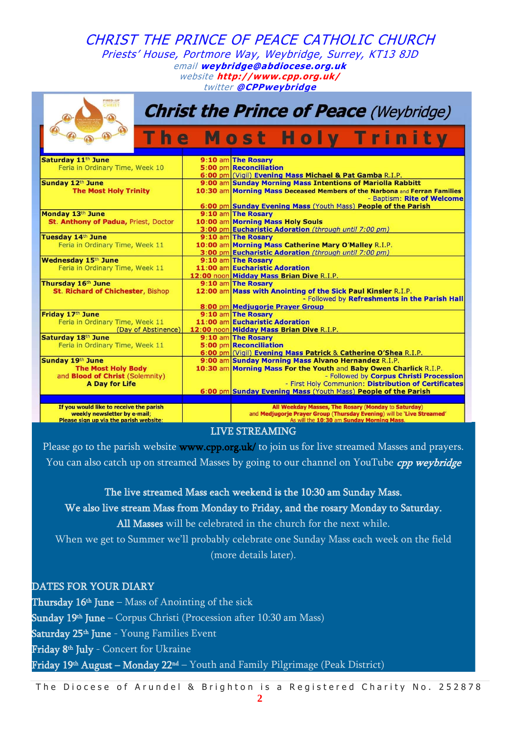| FIRED-UP<br><b>HRIST</b><br><b>Christ the Prince of Peace (Weybridge)</b> |  |                                                                                                                     |
|---------------------------------------------------------------------------|--|---------------------------------------------------------------------------------------------------------------------|
| T<br>h e                                                                  |  | <b>Most Holy Trinity</b>                                                                                            |
| Saturday 11 <sup>th</sup> June                                            |  | 9:10 am The Rosary                                                                                                  |
| Feria in Ordinary Time, Week 10                                           |  | <b>5:00 pm Reconciliation</b>                                                                                       |
|                                                                           |  | 6:00 pm (Vigil) Evening Mass Michael & Pat Gamba R.I.P.                                                             |
| Sunday 12th June                                                          |  | 9:00 am Sunday Morning Mass Intentions of Mariolla Rabbitt                                                          |
| <b>The Most Holy Trinity</b>                                              |  | 10:30 am Morning Mass Deceased Members of the Narbona and Ferran Families                                           |
|                                                                           |  | - Baptism: Rite of Welcome                                                                                          |
|                                                                           |  | 6:00 pm Sunday Evening Mass (Youth Mass) People of the Parish                                                       |
| Monday 13th June                                                          |  | 9:10 am The Rosary                                                                                                  |
| St. Anthony of Padua, Priest, Doctor                                      |  | 10:00 am Morning Mass Holy Souls                                                                                    |
|                                                                           |  | 3:00 pm Eucharistic Adoration (through until 7:00 pm)                                                               |
| <b>Tuesday 14th June</b>                                                  |  | 9:10 am The Rosary                                                                                                  |
| Feria in Ordinary Time, Week 11                                           |  | 10:00 am Morning Mass Catherine Mary O'Malley R.I.P.                                                                |
|                                                                           |  | 3:00 pm Eucharistic Adoration (through until 7:00 pm)                                                               |
| <b>Wednesday 15th June</b>                                                |  | 9:10 am The Rosary                                                                                                  |
| Feria in Ordinary Time, Week 11                                           |  | 11:00 am Eucharistic Adoration                                                                                      |
|                                                                           |  | 12:00 noon Midday Mass Brian Dive R.I.P.                                                                            |
| Thursday 16th June                                                        |  | 9:10 am The Rosary                                                                                                  |
| <b>St. Richard of Chichester, Bishop</b>                                  |  | 12:00 am Mass with Anointing of the Sick Paul Kinsler R.I.P.<br>- Followed by Refreshments in the Parish Hall       |
|                                                                           |  | 8:00 pm Medjugorje Prayer Group                                                                                     |
| Friday 17th June                                                          |  | 9:10 am The Rosary                                                                                                  |
| Feria in Ordinary Time, Week 11                                           |  | 11:00 am Eucharistic Adoration                                                                                      |
| (Day of Abstinence)                                                       |  | 12:00 noon Midday Mass Brian Dive R.I.P.                                                                            |
| Saturday 18th June                                                        |  | 9:10 am The Rosary                                                                                                  |
| Feria in Ordinary Time, Week 11                                           |  | 5:00 pm Reconciliation                                                                                              |
|                                                                           |  | 6:00 pm (Vigil) Evening Mass Patrick & Catherine O'Shea R.I.P.                                                      |
| Sunday 19th June                                                          |  | 9:00 am Sunday Morning Mass Alvano Hernandez R.I.P.                                                                 |
| <b>The Most Holy Body</b>                                                 |  | 10:30 am Morning Mass For the Youth and Baby Owen Charlick R.I.P.                                                   |
| and <b>Blood of Christ</b> (Solemnity)                                    |  | - Followed by Corpus Christi Procession                                                                             |
| <b>A Day for Life</b>                                                     |  | - First Holy Communion: Distribution of Certificates                                                                |
|                                                                           |  | 6:00 pm Sunday Evening Mass (Youth Mass) People of the Parish                                                       |
|                                                                           |  |                                                                                                                     |
| If you would like to receive the parish                                   |  | All Weekday Masses, The Rosary (Monday to Saturday)                                                                 |
| weekly newsletter by e-mail;<br>Please sign up via the parish website:    |  | and Medjugorje Prayer Group (Thursday Evening) will be 'Live Streamed'<br>As will the 10:30 am Sunday Morning Mass. |

#### LIVE STREAMING

Please go to the parish website [www.cpp.org.uk/](http://www.cpp.org.uk/) to join us for live streamed Masses and prayers. You can also catch up on streamed Masses by going to our channel on YouTube *cpp weybridge* 

The live streamed Mass each weekend is the 10:30 am Sunday Mass.

We also live stream Mass from Monday to Friday, and the rosary Monday to Saturday.

All Masses will be celebrated in the church for the next while.

When we get to Summer we'll probably celebrate one Sunday Mass each week on the field (more details later).

DATES FOR YOUR DIARY **Thursday 16th June** – Mass of Anointing of the sick **Sunday 19th June** – Corpus Christi (Procession after 10:30 am Mass) **Saturday 25th June** - Young Families Event **Friday 8<sup>th</sup> July** - Concert for Ukraine **Friday 19th August – Monday 22nd** – Youth and Family Pilgrimage (Peak District)

The Diocese of Arundel & Brighton is a Registered Charity No. 252878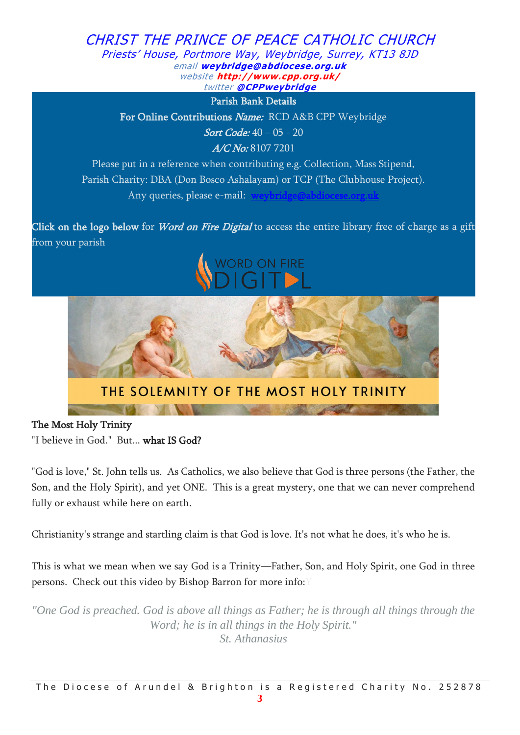

The Most Holy Trinity

"I believe in God." But... what IS God?

"God is love," St. John tells us. As Catholics, we also believe that God is three persons (the Father, the Son, and the Holy Spirit), and yet ONE. This is a great mystery, one that we can never comprehend fully or exhaust while here on earth.

Christianity's strange and startling claim is that God is love. It's not what he does, it's who he is.

This is what we mean when we say God is a Trinity—Father, Son, and Holy Spirit, one God in three persons. Check out this video by Bishop Barron for more info: Y

*"One God is preached. God is above all things as Father; he is through all things through the Word; he is in all things in the Holy Spirit." St. Athanasius*

**3**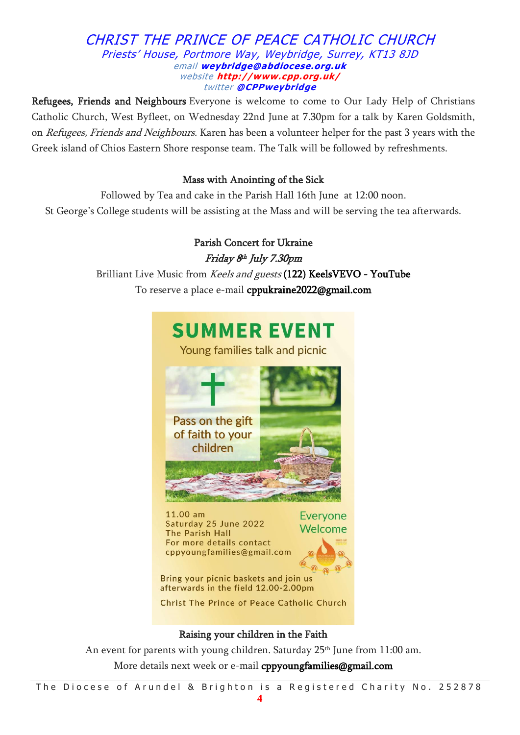Refugees, Friends and Neighbours Everyone is welcome to come to Our Lady Help of Christians Catholic Church, West Byfleet, on Wednesday 22nd June at 7.30pm for a talk by Karen Goldsmith, on *Refugees, Friends and Neighbours*. Karen has been a volunteer helper for the past 3 years with the Greek island of Chios Eastern Shore response team. The Talk will be followed by refreshments.

# Mass with Anointing of the Sick

Followed by Tea and cake in the Parish Hall 16th June at 12:00 noon. St George's College students will be assisting at the Mass and will be serving the tea afterwards.

> Parish Concert for Ukraine Friday 8 th July 7.30pm Brilliant Live Music from Keels and guests [\(122\) KeelsVEVO - YouTube](https://www.youtube.com/channel/UC5ACy_4J7i5U7hfeibN6v5g) To reserve a place e-mail [cppukraine2022@gmail.com](mailto:cppukraine2022@gmail.com)



# Raising your children in the Faith

An event for parents with young children. Saturday  $25<sup>th</sup>$  June from 11:00 am. More details next week or e-mail [cppyoungfamilies@gmail.com](mailto:cppyoungfamilies@gmail.com)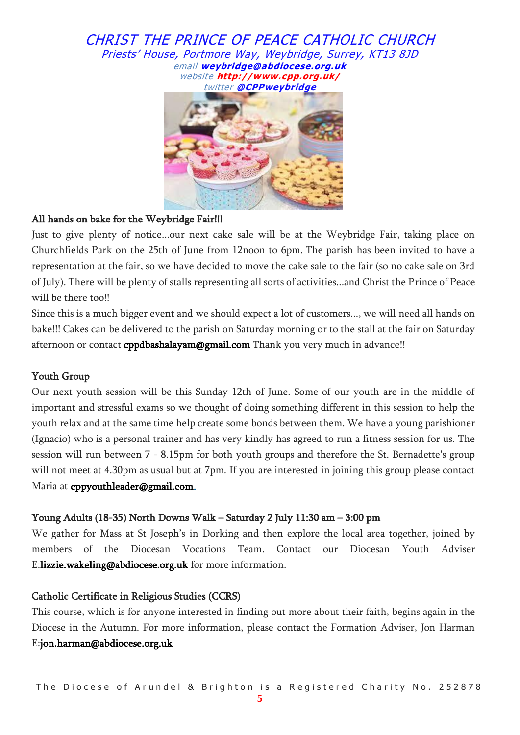

# All hands on bake for the Weybridge Fair!!!

Just to give plenty of notice...our next cake sale will be at the Weybridge Fair, taking place on Churchfields Park on the 25th of June from 12noon to 6pm. The parish has been invited to have a representation at the fair, so we have decided to move the cake sale to the fair (so no cake sale on 3rd of July). There will be plenty of stalls representing all sorts of activities...and Christ the Prince of Peace will be there too!!

Since this is a much bigger event and we should expect a lot of customers..., we will need all hands on bake!!! Cakes can be delivered to the parish on Saturday morning or to the stall at the fair on Saturday afternoon or contact [cppdbashalayam@gmail.com](mailto:cppdbashalayam@gmail.com) Thank you very much in advance!!

# Youth Group

Our next youth session will be this Sunday 12th of June. Some of our youth are in the middle of important and stressful exams so we thought of doing something different in this session to help the youth relax and at the same time help create some bonds between them. We have a young parishioner (Ignacio) who is a personal trainer and has very kindly has agreed to run a fitness session for us. The session will run between 7 - 8.15pm for both youth groups and therefore the St. Bernadette's group will not meet at 4.30pm as usual but at 7pm. If you are interested in joining this group please contact Maria at [cppyouthleader@gmail.com.](mailto:cppyouthleader@gmail.com)

# Young Adults (18-35) North Downs Walk – Saturday 2 July 11:30 am – 3:00 pm

We gather for Mass at St Joseph's in Dorking and then explore the local area together, joined by members of the Diocesan Vocations Team. Contact our Diocesan Youth Adviser E[:lizzie.wakeling@abdiocese.org.uk](mailto:lizzie.wakeling@abdiocese.org.uk) for more information.

# Catholic Certificate in Religious Studies (CCRS)

This course, which is for anyone interested in finding out more about their faith, begins again in the Diocese in the Autumn. For more information, please contact the Formation Adviser, Jon Harman E[:jon.harman@abdiocese.org.uk](mailto:jon.harman@abdiocese.org.uk)